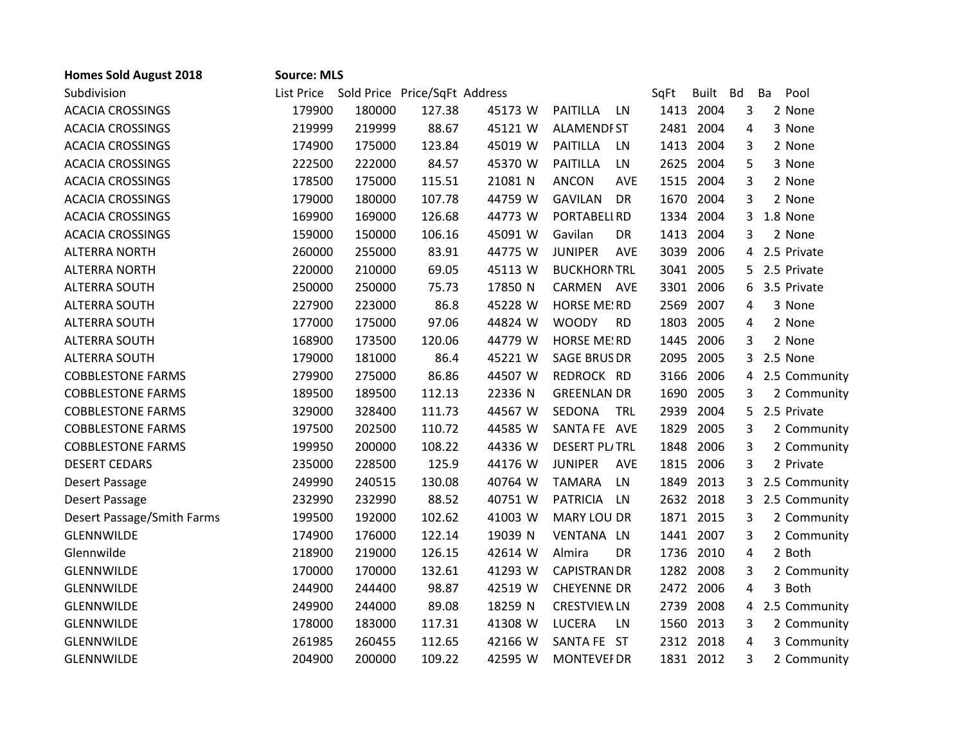| <b>Homes Sold August 2018</b> | <b>Source: MLS</b> |        |                                          |         |                              |      |              |           |    |               |
|-------------------------------|--------------------|--------|------------------------------------------|---------|------------------------------|------|--------------|-----------|----|---------------|
| Subdivision                   |                    |        | List Price Sold Price Price/SqFt Address |         |                              | SqFt | <b>Built</b> | <b>Bd</b> | Ba | Pool          |
| <b>ACACIA CROSSINGS</b>       | 179900             | 180000 | 127.38                                   | 45173 W | <b>PAITILLA</b><br>LN        |      | 1413 2004    | 3         |    | 2 None        |
| <b>ACACIA CROSSINGS</b>       | 219999             | 219999 | 88.67                                    | 45121 W | <b>ALAMENDIST</b>            | 2481 | 2004         | 4         |    | 3 None        |
| <b>ACACIA CROSSINGS</b>       | 174900             | 175000 | 123.84                                   | 45019 W | PAITILLA<br>LN               | 1413 | 2004         | 3         |    | 2 None        |
| <b>ACACIA CROSSINGS</b>       | 222500             | 222000 | 84.57                                    | 45370 W | <b>PAITILLA</b><br>LN        | 2625 | 2004         | 5         |    | 3 None        |
| <b>ACACIA CROSSINGS</b>       | 178500             | 175000 | 115.51                                   | 21081 N | <b>ANCON</b><br><b>AVE</b>   |      | 1515 2004    | 3         |    | 2 None        |
| <b>ACACIA CROSSINGS</b>       | 179000             | 180000 | 107.78                                   | 44759 W | <b>GAVILAN</b><br>DR         |      | 1670 2004    | 3         |    | 2 None        |
| <b>ACACIA CROSSINGS</b>       | 169900             | 169000 | 126.68                                   | 44773 W | PORTABELI RD                 | 1334 | 2004         | 3         |    | 1.8 None      |
| <b>ACACIA CROSSINGS</b>       | 159000             | 150000 | 106.16                                   | 45091 W | Gavilan<br><b>DR</b>         | 1413 | 2004         | 3         |    | 2 None        |
| <b>ALTERRA NORTH</b>          | 260000             | 255000 | 83.91                                    | 44775 W | <b>JUNIPER</b><br>AVE        | 3039 | 2006         | 4         |    | 2.5 Private   |
| <b>ALTERRA NORTH</b>          | 220000             | 210000 | 69.05                                    | 45113 W | <b>BUCKHORNTRL</b>           |      | 3041 2005    | 5         |    | 2.5 Private   |
| <b>ALTERRA SOUTH</b>          | 250000             | 250000 | 75.73                                    | 17850 N | CARMEN AVE                   |      | 3301 2006    | 6         |    | 3.5 Private   |
| <b>ALTERRA SOUTH</b>          | 227900             | 223000 | 86.8                                     | 45228 W | <b>HORSE ME! RD</b>          | 2569 | 2007         | 4         |    | 3 None        |
| <b>ALTERRA SOUTH</b>          | 177000             | 175000 | 97.06                                    | 44824 W | <b>WOODY</b><br><b>RD</b>    | 1803 | 2005         | 4         |    | 2 None        |
| <b>ALTERRA SOUTH</b>          | 168900             | 173500 | 120.06                                   | 44779 W | <b>HORSE ME! RD</b>          | 1445 | 2006         | 3         |    | 2 None        |
| <b>ALTERRA SOUTH</b>          | 179000             | 181000 | 86.4                                     | 45221 W | <b>SAGE BRUS DR</b>          | 2095 | 2005         | 3         |    | 2.5 None      |
| <b>COBBLESTONE FARMS</b>      | 279900             | 275000 | 86.86                                    | 44507 W | REDROCK RD                   | 3166 | 2006         | 4         |    | 2.5 Community |
| <b>COBBLESTONE FARMS</b>      | 189500             | 189500 | 112.13                                   | 22336 N | <b>GREENLAN DR</b>           | 1690 | 2005         | 3         |    | 2 Community   |
| <b>COBBLESTONE FARMS</b>      | 329000             | 328400 | 111.73                                   | 44567 W | SEDONA<br><b>TRL</b>         | 2939 | 2004         | 5         |    | 2.5 Private   |
| <b>COBBLESTONE FARMS</b>      | 197500             | 202500 | 110.72                                   | 44585 W | SANTA FE AVE                 | 1829 | 2005         | 3         |    | 2 Community   |
| <b>COBBLESTONE FARMS</b>      | 199950             | 200000 | 108.22                                   | 44336 W | <b>DESERT PL/TRL</b>         | 1848 | 2006         | 3         |    | 2 Community   |
| <b>DESERT CEDARS</b>          | 235000             | 228500 | 125.9                                    | 44176 W | <b>JUNIPER</b><br><b>AVE</b> | 1815 | 2006         | 3         |    | 2 Private     |
| Desert Passage                | 249990             | 240515 | 130.08                                   | 40764 W | LN<br><b>TAMARA</b>          | 1849 | 2013         | 3         |    | 2.5 Community |
| Desert Passage                | 232990             | 232990 | 88.52                                    | 40751 W | <b>PATRICIA</b><br><b>LN</b> |      | 2632 2018    | 3         |    | 2.5 Community |
| Desert Passage/Smith Farms    | 199500             | 192000 | 102.62                                   | 41003 W | <b>MARY LOU DR</b>           |      | 1871 2015    | 3         |    | 2 Community   |
| <b>GLENNWILDE</b>             | 174900             | 176000 | 122.14                                   | 19039 N | VENTANA LN                   |      | 1441 2007    | 3         |    | 2 Community   |
| Glennwilde                    | 218900             | 219000 | 126.15                                   | 42614 W | DR<br>Almira                 | 1736 | 2010         | 4         |    | 2 Both        |
| GLENNWILDE                    | 170000             | 170000 | 132.61                                   | 41293 W | <b>CAPISTRAN DR</b>          | 1282 | 2008         | 3         |    | 2 Community   |
| GLENNWILDE                    | 244900             | 244400 | 98.87                                    | 42519 W | <b>CHEYENNE DR</b>           | 2472 | 2006         | 4         |    | 3 Both        |
| GLENNWILDE                    | 249900             | 244000 | 89.08                                    | 18259 N | <b>CRESTVIEW LN</b>          |      | 2739 2008    | 4         |    | 2.5 Community |
| GLENNWILDE                    | 178000             | 183000 | 117.31                                   | 41308 W | <b>LUCERA</b><br>LN          |      | 1560 2013    | 3         |    | 2 Community   |
| GLENNWILDE                    | 261985             | 260455 | 112.65                                   | 42166 W | SANTA FE ST                  | 2312 | 2018         | 4         |    | 3 Community   |
| <b>GLENNWILDE</b>             | 204900             | 200000 | 109.22                                   | 42595 W | <b>MONTEVEF DR</b>           |      | 1831 2012    | 3         |    | 2 Community   |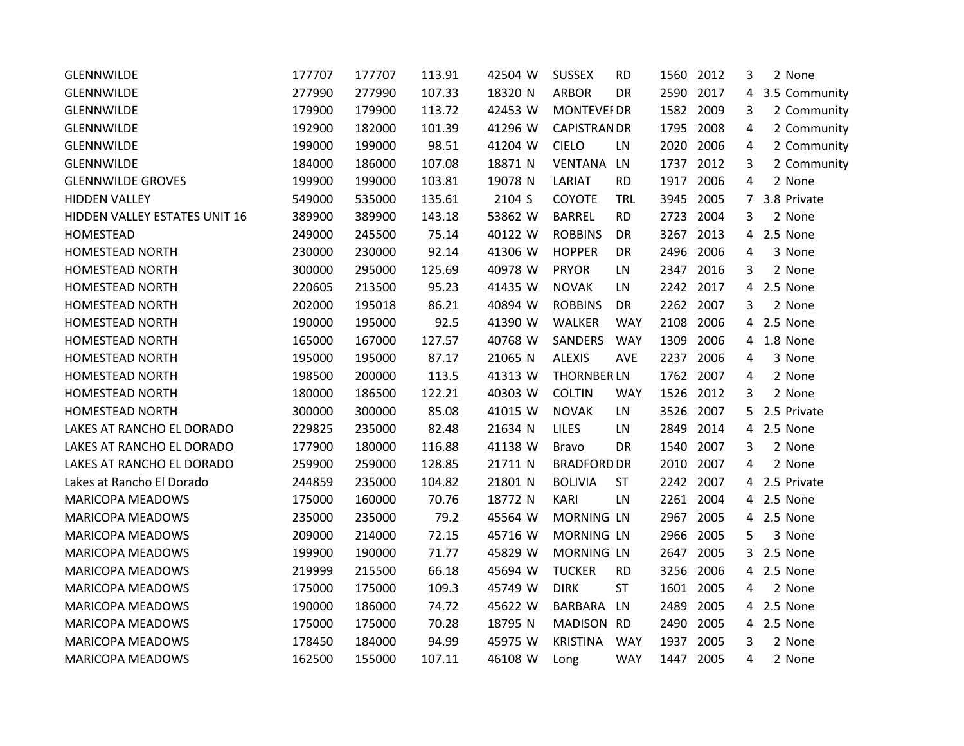| <b>GLENNWILDE</b>             | 177707 | 177707 | 113.91 | 42504 W | <b>SUSSEX</b>       | <b>RD</b>  |      | 1560 2012 | 3 | 2 None        |
|-------------------------------|--------|--------|--------|---------|---------------------|------------|------|-----------|---|---------------|
| <b>GLENNWILDE</b>             | 277990 | 277990 | 107.33 | 18320 N | <b>ARBOR</b>        | DR         | 2590 | 2017      | 4 | 3.5 Community |
| <b>GLENNWILDE</b>             | 179900 | 179900 | 113.72 | 42453 W | <b>MONTEVEI DR</b>  |            |      | 1582 2009 | 3 | 2 Community   |
| <b>GLENNWILDE</b>             | 192900 | 182000 | 101.39 | 41296 W | <b>CAPISTRAN DR</b> |            | 1795 | 2008      | 4 | 2 Community   |
| <b>GLENNWILDE</b>             | 199000 | 199000 | 98.51  | 41204 W | <b>CIELO</b>        | LN         | 2020 | 2006      | 4 | 2 Community   |
| <b>GLENNWILDE</b>             | 184000 | 186000 | 107.08 | 18871 N | <b>VENTANA</b>      | LN         | 1737 | 2012      | 3 | 2 Community   |
| <b>GLENNWILDE GROVES</b>      | 199900 | 199000 | 103.81 | 19078 N | LARIAT              | <b>RD</b>  | 1917 | 2006      | 4 | 2 None        |
| <b>HIDDEN VALLEY</b>          | 549000 | 535000 | 135.61 | 2104 S  | COYOTE              | <b>TRL</b> | 3945 | 2005      | 7 | 3.8 Private   |
| HIDDEN VALLEY ESTATES UNIT 16 | 389900 | 389900 | 143.18 | 53862 W | <b>BARREL</b>       | <b>RD</b>  |      | 2723 2004 | 3 | 2 None        |
| <b>HOMESTEAD</b>              | 249000 | 245500 | 75.14  | 40122 W | <b>ROBBINS</b>      | DR         |      | 3267 2013 | 4 | 2.5 None      |
| <b>HOMESTEAD NORTH</b>        | 230000 | 230000 | 92.14  | 41306 W | <b>HOPPER</b>       | DR         | 2496 | 2006      | 4 | 3 None        |
| <b>HOMESTEAD NORTH</b>        | 300000 | 295000 | 125.69 | 40978 W | <b>PRYOR</b>        | LN         |      | 2347 2016 | 3 | 2 None        |
| <b>HOMESTEAD NORTH</b>        | 220605 | 213500 | 95.23  | 41435 W | <b>NOVAK</b>        | LN         |      | 2242 2017 | 4 | 2.5 None      |
| HOMESTEAD NORTH               | 202000 | 195018 | 86.21  | 40894 W | <b>ROBBINS</b>      | DR         | 2262 | 2007      | 3 | 2 None        |
| <b>HOMESTEAD NORTH</b>        | 190000 | 195000 | 92.5   | 41390 W | WALKER              | <b>WAY</b> | 2108 | 2006      | 4 | 2.5 None      |
| <b>HOMESTEAD NORTH</b>        | 165000 | 167000 | 127.57 | 40768 W | SANDERS             | <b>WAY</b> | 1309 | 2006      | 4 | 1.8 None      |
| <b>HOMESTEAD NORTH</b>        | 195000 | 195000 | 87.17  | 21065 N | <b>ALEXIS</b>       | <b>AVE</b> |      | 2237 2006 | 4 | 3 None        |
| <b>HOMESTEAD NORTH</b>        | 198500 | 200000 | 113.5  | 41313 W | <b>THORNBER LN</b>  |            |      | 1762 2007 | 4 | 2 None        |
| <b>HOMESTEAD NORTH</b>        | 180000 | 186500 | 122.21 | 40303 W | <b>COLTIN</b>       | <b>WAY</b> | 1526 | 2012      | 3 | 2 None        |
| <b>HOMESTEAD NORTH</b>        | 300000 | 300000 | 85.08  | 41015 W | <b>NOVAK</b>        | LN         | 3526 | 2007      | 5 | 2.5 Private   |
| LAKES AT RANCHO EL DORADO     | 229825 | 235000 | 82.48  | 21634 N | LILES               | LN         | 2849 | 2014      | 4 | 2.5 None      |
| LAKES AT RANCHO EL DORADO     | 177900 | 180000 | 116.88 | 41138 W | <b>Bravo</b>        | <b>DR</b>  | 1540 | 2007      | 3 | 2 None        |
| LAKES AT RANCHO EL DORADO     | 259900 | 259000 | 128.85 | 21711 N | <b>BRADFORD DR</b>  |            |      | 2010 2007 | 4 | 2 None        |
| Lakes at Rancho El Dorado     | 244859 | 235000 | 104.82 | 21801 N | <b>BOLIVIA</b>      | <b>ST</b>  | 2242 | 2007      | 4 | 2.5 Private   |
| <b>MARICOPA MEADOWS</b>       | 175000 | 160000 | 70.76  | 18772 N | <b>KARI</b>         | LN         |      | 2261 2004 | 4 | 2.5 None      |
| <b>MARICOPA MEADOWS</b>       | 235000 | 235000 | 79.2   | 45564 W | <b>MORNING LN</b>   |            |      | 2967 2005 | 4 | 2.5 None      |
| <b>MARICOPA MEADOWS</b>       | 209000 | 214000 | 72.15  | 45716 W | <b>MORNING LN</b>   |            | 2966 | 2005      | 5 | 3 None        |
| MARICOPA MEADOWS              | 199900 | 190000 | 71.77  | 45829 W | <b>MORNING LN</b>   |            | 2647 | 2005      | 3 | 2.5 None      |
| <b>MARICOPA MEADOWS</b>       | 219999 | 215500 | 66.18  | 45694 W | <b>TUCKER</b>       | <b>RD</b>  | 3256 | 2006      | 4 | 2.5 None      |
| <b>MARICOPA MEADOWS</b>       | 175000 | 175000 | 109.3  | 45749 W | <b>DIRK</b>         | <b>ST</b>  |      | 1601 2005 | 4 | 2 None        |
| MARICOPA MEADOWS              | 190000 | 186000 | 74.72  | 45622 W | BARBARA             | LN         | 2489 | 2005      | 4 | 2.5 None      |
| <b>MARICOPA MEADOWS</b>       | 175000 | 175000 | 70.28  | 18795 N | MADISON RD          |            | 2490 | 2005      |   | 4 2.5 None    |
| <b>MARICOPA MEADOWS</b>       | 178450 | 184000 | 94.99  | 45975 W | <b>KRISTINA</b>     | <b>WAY</b> | 1937 | 2005      | 3 | 2 None        |
| <b>MARICOPA MEADOWS</b>       | 162500 | 155000 | 107.11 | 46108 W | Long                | <b>WAY</b> |      | 1447 2005 | 4 | 2 None        |
|                               |        |        |        |         |                     |            |      |           |   |               |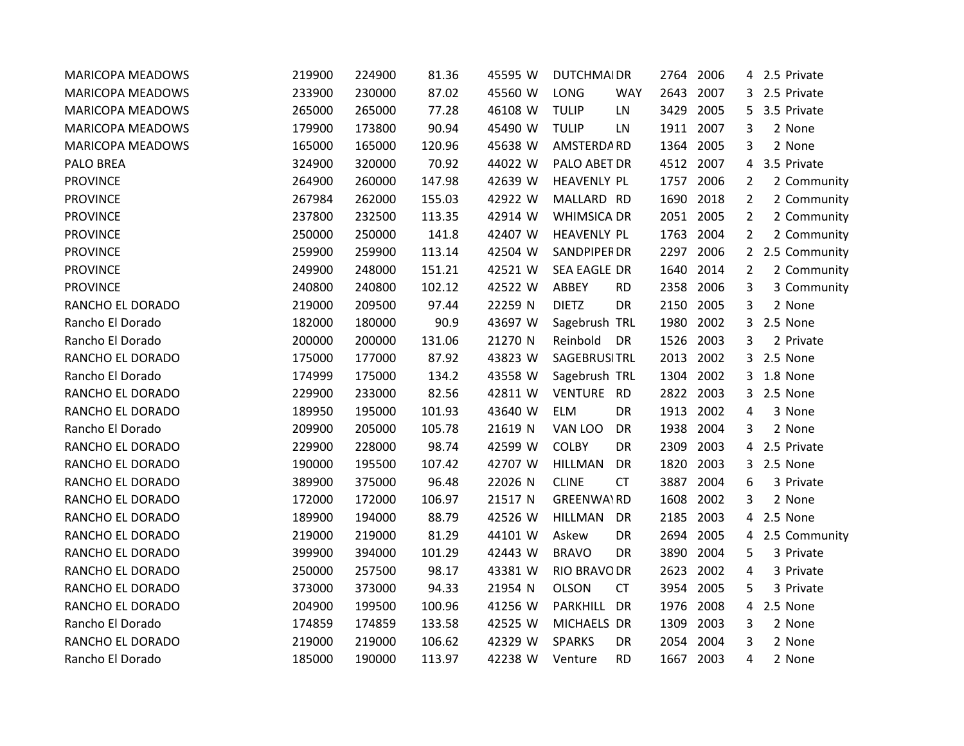| <b>MARICOPA MEADOWS</b> | 219900 | 224900 | 81.36  | 45595 W | <b>DUTCHMAIDR</b>           | 2764 | 2006      |                | 4 2.5 Private   |
|-------------------------|--------|--------|--------|---------|-----------------------------|------|-----------|----------------|-----------------|
| <b>MARICOPA MEADOWS</b> | 233900 | 230000 | 87.02  | 45560 W | LONG<br><b>WAY</b>          | 2643 | 2007      |                | 3 2.5 Private   |
| <b>MARICOPA MEADOWS</b> | 265000 | 265000 | 77.28  | 46108 W | <b>TULIP</b><br>LN          | 3429 | 2005      | 5              | 3.5 Private     |
| <b>MARICOPA MEADOWS</b> | 179900 | 173800 | 90.94  | 45490 W | <b>TULIP</b><br>LN          | 1911 | 2007      | 3              | 2 None          |
| <b>MARICOPA MEADOWS</b> | 165000 | 165000 | 120.96 | 45638 W | AMSTERDARD                  | 1364 | 2005      | 3              | 2 None          |
| PALO BREA               | 324900 | 320000 | 70.92  | 44022 W | PALO ABET DR                |      | 4512 2007 | 4              | 3.5 Private     |
| <b>PROVINCE</b>         | 264900 | 260000 | 147.98 | 42639 W | <b>HEAVENLY PL</b>          |      | 1757 2006 | 2              | 2 Community     |
| <b>PROVINCE</b>         | 267984 | 262000 | 155.03 | 42922 W | MALLARD RD                  |      | 1690 2018 | $\overline{2}$ | 2 Community     |
| <b>PROVINCE</b>         | 237800 | 232500 | 113.35 | 42914 W | <b>WHIMSICA DR</b>          |      | 2051 2005 | $\overline{2}$ | 2 Community     |
| <b>PROVINCE</b>         | 250000 | 250000 | 141.8  | 42407 W | <b>HEAVENLY PL</b>          | 1763 | 2004      | $\overline{2}$ | 2 Community     |
| <b>PROVINCE</b>         | 259900 | 259900 | 113.14 | 42504 W | <b>SANDPIPER DR</b>         | 2297 | 2006      |                | 2 2.5 Community |
| <b>PROVINCE</b>         | 249900 | 248000 | 151.21 | 42521 W | SEA EAGLE DR                | 1640 | 2014      | $\overline{2}$ | 2 Community     |
| <b>PROVINCE</b>         | 240800 | 240800 | 102.12 | 42522 W | ABBEY<br><b>RD</b>          |      | 2358 2006 | 3              | 3 Community     |
| RANCHO EL DORADO        | 219000 | 209500 | 97.44  | 22259 N | <b>DIETZ</b><br>DR          | 2150 | 2005      | 3              | 2 None          |
| Rancho El Dorado        | 182000 | 180000 | 90.9   | 43697 W | Sagebrush TRL               | 1980 | 2002      |                | 3 2.5 None      |
| Rancho El Dorado        | 200000 | 200000 | 131.06 | 21270 N | Reinbold<br>DR              | 1526 | 2003      | 3              | 2 Private       |
| RANCHO EL DORADO        | 175000 | 177000 | 87.92  | 43823 W | <b>SAGEBRUSITRL</b>         |      | 2013 2002 |                | 3 2.5 None      |
| Rancho El Dorado        | 174999 | 175000 | 134.2  | 43558 W | Sagebrush TRL               |      | 1304 2002 | 3              | 1.8 None        |
| RANCHO EL DORADO        | 229900 | 233000 | 82.56  | 42811 W | <b>VENTURE</b><br><b>RD</b> | 2822 | 2003      | 3              | 2.5 None        |
| RANCHO EL DORADO        | 189950 | 195000 | 101.93 | 43640 W | <b>ELM</b><br><b>DR</b>     | 1913 | 2002      | 4              | 3 None          |
| Rancho El Dorado        | 209900 | 205000 | 105.78 | 21619 N | VAN LOO<br>DR               | 1938 | 2004      | 3              | 2 None          |
| RANCHO EL DORADO        | 229900 | 228000 | 98.74  | 42599 W | <b>COLBY</b><br><b>DR</b>   | 2309 | 2003      |                | 4 2.5 Private   |
| RANCHO EL DORADO        | 190000 | 195500 | 107.42 | 42707 W | <b>HILLMAN</b><br><b>DR</b> |      | 1820 2003 |                | 3 2.5 None      |
| RANCHO EL DORADO        | 389900 | 375000 | 96.48  | 22026 N | <b>CLINE</b><br><b>CT</b>   | 3887 | 2004      | 6              | 3 Private       |
| RANCHO EL DORADO        | 172000 | 172000 | 106.97 | 21517 N | <b>GREENWA\RD</b>           | 1608 | 2002      | 3              | 2 None          |
| RANCHO EL DORADO        | 189900 | 194000 | 88.79  | 42526 W | <b>HILLMAN</b><br>DR        | 2185 | 2003      | 4              | 2.5 None        |
| RANCHO EL DORADO        | 219000 | 219000 | 81.29  | 44101 W | Askew<br>DR                 | 2694 | 2005      |                | 4 2.5 Community |
| RANCHO EL DORADO        | 399900 | 394000 | 101.29 | 42443 W | <b>BRAVO</b><br>DR          | 3890 | 2004      | 5              | 3 Private       |
| RANCHO EL DORADO        | 250000 | 257500 | 98.17  | 43381 W | <b>RIO BRAVO DR</b>         | 2623 | 2002      | 4              | 3 Private       |
| RANCHO EL DORADO        | 373000 | 373000 | 94.33  | 21954 N | <b>OLSON</b><br><b>CT</b>   |      | 3954 2005 | 5              | 3 Private       |
| RANCHO EL DORADO        | 204900 | 199500 | 100.96 | 41256 W | PARKHILL<br><b>DR</b>       | 1976 | 2008      |                | 4 2.5 None      |
| Rancho El Dorado        | 174859 | 174859 | 133.58 | 42525 W | MICHAELS DR                 | 1309 | 2003      | 3              | 2 None          |
| RANCHO EL DORADO        | 219000 | 219000 | 106.62 | 42329 W | <b>SPARKS</b><br><b>DR</b>  | 2054 | 2004      | 3              | 2 None          |
| Rancho El Dorado        | 185000 | 190000 | 113.97 | 42238 W | RD.<br>Venture              |      | 1667 2003 | 4              | 2 None          |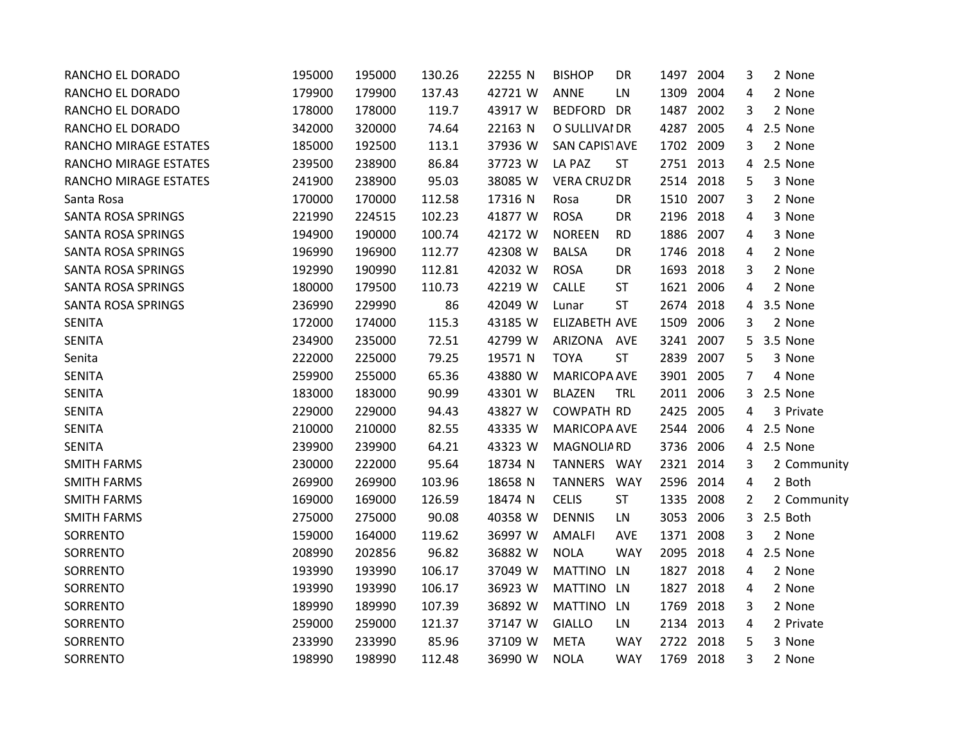| RANCHO EL DORADO             | 195000 | 195000 | 130.26 | 22255 N | <b>BISHOP</b>       | DR         | 1497 | 2004      | 3 | 2 None      |
|------------------------------|--------|--------|--------|---------|---------------------|------------|------|-----------|---|-------------|
| RANCHO EL DORADO             | 179900 | 179900 | 137.43 | 42721 W | ANNE                | LN         | 1309 | 2004      | 4 | 2 None      |
| RANCHO EL DORADO             | 178000 | 178000 | 119.7  | 43917 W | <b>BEDFORD</b>      | DR         | 1487 | 2002      | 3 | 2 None      |
| RANCHO EL DORADO             | 342000 | 320000 | 74.64  | 22163 N | O SULLIVAI DR       |            | 4287 | 2005      | 4 | 2.5 None    |
| RANCHO MIRAGE ESTATES        | 185000 | 192500 | 113.1  | 37936 W | SAN CAPISTAVE       |            | 1702 | 2009      | 3 | 2 None      |
| RANCHO MIRAGE ESTATES        | 239500 | 238900 | 86.84  | 37723 W | LA PAZ              | <b>ST</b>  |      | 2751 2013 | 4 | 2.5 None    |
| <b>RANCHO MIRAGE ESTATES</b> | 241900 | 238900 | 95.03  | 38085 W | <b>VERA CRUZ DR</b> |            |      | 2514 2018 | 5 | 3 None      |
| Santa Rosa                   | 170000 | 170000 | 112.58 | 17316 N | Rosa                | <b>DR</b>  |      | 1510 2007 | 3 | 2 None      |
| SANTA ROSA SPRINGS           | 221990 | 224515 | 102.23 | 41877 W | <b>ROSA</b>         | DR         | 2196 | 2018      | 4 | 3 None      |
| SANTA ROSA SPRINGS           | 194900 | 190000 | 100.74 | 42172 W | <b>NOREEN</b>       | <b>RD</b>  | 1886 | 2007      | 4 | 3 None      |
| SANTA ROSA SPRINGS           | 196990 | 196900 | 112.77 | 42308 W | <b>BALSA</b>        | DR         |      | 1746 2018 | 4 | 2 None      |
| SANTA ROSA SPRINGS           | 192990 | 190990 | 112.81 | 42032 W | <b>ROSA</b>         | DR         |      | 1693 2018 | 3 | 2 None      |
| SANTA ROSA SPRINGS           | 180000 | 179500 | 110.73 | 42219 W | <b>CALLE</b>        | <b>ST</b>  |      | 1621 2006 | 4 | 2 None      |
| <b>SANTA ROSA SPRINGS</b>    | 236990 | 229990 | 86     | 42049 W | Lunar               | ST         | 2674 | 2018      | 4 | 3.5 None    |
| <b>SENITA</b>                | 172000 | 174000 | 115.3  | 43185 W | ELIZABETH AVE       |            | 1509 | 2006      | 3 | 2 None      |
| <b>SENITA</b>                | 234900 | 235000 | 72.51  | 42799 W | ARIZONA             | <b>AVE</b> |      | 3241 2007 | 5 | 3.5 None    |
| Senita                       | 222000 | 225000 | 79.25  | 19571 N | <b>TOYA</b>         | <b>ST</b>  |      | 2839 2007 | 5 | 3 None      |
| <b>SENITA</b>                | 259900 | 255000 | 65.36  | 43880 W | MARICOPA AVE        |            |      | 3901 2005 | 7 | 4 None      |
| <b>SENITA</b>                | 183000 | 183000 | 90.99  | 43301 W | <b>BLAZEN</b>       | TRL        |      | 2011 2006 | 3 | 2.5 None    |
| <b>SENITA</b>                | 229000 | 229000 | 94.43  | 43827 W | <b>COWPATH RD</b>   |            | 2425 | 2005      | 4 | 3 Private   |
| <b>SENITA</b>                | 210000 | 210000 | 82.55  | 43335 W | MARICOPA AVE        |            | 2544 | 2006      | 4 | 2.5 None    |
| <b>SENITA</b>                | 239900 | 239900 | 64.21  | 43323 W | MAGNOLIA RD         |            |      | 3736 2006 |   | 4 2.5 None  |
| <b>SMITH FARMS</b>           | 230000 | 222000 | 95.64  | 18734 N | TANNERS WAY         |            |      | 2321 2014 | 3 | 2 Community |
| <b>SMITH FARMS</b>           | 269900 | 269900 | 103.96 | 18658 N | TANNERS             | WAY        |      | 2596 2014 | 4 | 2 Both      |
| <b>SMITH FARMS</b>           | 169000 | 169000 | 126.59 | 18474 N | <b>CELIS</b>        | ST         |      | 1335 2008 | 2 | 2 Community |
| <b>SMITH FARMS</b>           | 275000 | 275000 | 90.08  | 40358 W | <b>DENNIS</b>       | LN         |      | 3053 2006 | 3 | 2.5 Both    |
| SORRENTO                     | 159000 | 164000 | 119.62 | 36997 W | <b>AMALFI</b>       | AVE        |      | 1371 2008 | 3 | 2 None      |
| SORRENTO                     | 208990 | 202856 | 96.82  | 36882 W | <b>NOLA</b>         | <b>WAY</b> |      | 2095 2018 | 4 | 2.5 None    |
| SORRENTO                     | 193990 | 193990 | 106.17 | 37049 W | <b>MATTINO</b>      | LN         |      | 1827 2018 | 4 | 2 None      |
| SORRENTO                     | 193990 | 193990 | 106.17 | 36923 W | <b>MATTINO</b>      | LN         |      | 1827 2018 | 4 | 2 None      |
| SORRENTO                     | 189990 | 189990 | 107.39 | 36892 W | <b>MATTINO</b>      | LN         |      | 1769 2018 | 3 | 2 None      |
| SORRENTO                     | 259000 | 259000 | 121.37 | 37147 W | <b>GIALLO</b>       | LN         |      | 2134 2013 | 4 | 2 Private   |
| SORRENTO                     | 233990 | 233990 | 85.96  | 37109 W | <b>META</b>         | <b>WAY</b> |      | 2722 2018 | 5 | 3 None      |
| SORRENTO                     | 198990 | 198990 | 112.48 | 36990 W | <b>NOLA</b>         | <b>WAY</b> |      | 1769 2018 | 3 | 2 None      |